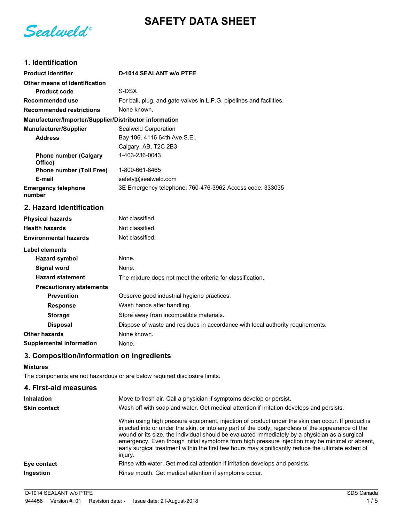**SAFETY DATA SHEET**

Sealweld®

# **1. Identification**

| <b>Product identifier</b>                              | D-1014 SEALANT w/o PTFE                                                        |
|--------------------------------------------------------|--------------------------------------------------------------------------------|
| Other means of identification                          |                                                                                |
| <b>Product code</b>                                    | S-DSX                                                                          |
| Recommended use                                        | For ball, plug, and gate valves in L.P.G. pipelines and facilities.            |
| <b>Recommended restrictions</b>                        | None known.                                                                    |
| Manufacturer/Importer/Supplier/Distributor information |                                                                                |
| <b>Manufacturer/Supplier</b>                           | Sealweld Corporation                                                           |
| <b>Address</b>                                         | Bay 106, 4116 64th Ave.S.E.,                                                   |
|                                                        | Calgary, AB, T2C 2B3                                                           |
| <b>Phone number (Calgary</b><br>Office)                | 1-403-236-0043                                                                 |
| <b>Phone number (Toll Free)</b>                        | 1-800-661-8465                                                                 |
| E-mail                                                 | safety@sealweld.com                                                            |
| <b>Emergency telephone</b><br>number                   | 3E Emergency telephone: 760-476-3962 Access code: 333035                       |
| 2. Hazard identification                               |                                                                                |
| <b>Physical hazards</b>                                | Not classified.                                                                |
| <b>Health hazards</b>                                  | Not classified.                                                                |
| <b>Environmental hazards</b>                           | Not classified.                                                                |
| <b>Label elements</b>                                  |                                                                                |
| <b>Hazard symbol</b>                                   | None.                                                                          |
| <b>Signal word</b>                                     | None.                                                                          |
| <b>Hazard statement</b>                                | The mixture does not meet the criteria for classification.                     |
| <b>Precautionary statements</b>                        |                                                                                |
| <b>Prevention</b>                                      | Observe good industrial hygiene practices.                                     |
| <b>Response</b>                                        | Wash hands after handling.                                                     |
| <b>Storage</b>                                         | Store away from incompatible materials.                                        |
| <b>Disposal</b>                                        | Dispose of waste and residues in accordance with local authority requirements. |
| <b>Other hazards</b>                                   | None known.                                                                    |
| <b>Supplemental information</b>                        | None.                                                                          |

## **3. Composition/information on ingredients**

#### **Mixtures**

The components are not hazardous or are below required disclosure limits.

### **4. First-aid measures**

| <b>Inhalation</b>   | Move to fresh air. Call a physician if symptoms develop or persist.                                                                                                                                                                                                                                                                                                                                                                                                                                                          |
|---------------------|------------------------------------------------------------------------------------------------------------------------------------------------------------------------------------------------------------------------------------------------------------------------------------------------------------------------------------------------------------------------------------------------------------------------------------------------------------------------------------------------------------------------------|
| <b>Skin contact</b> | Wash off with soap and water. Get medical attention if irritation develops and persists.                                                                                                                                                                                                                                                                                                                                                                                                                                     |
|                     | When using high pressure equipment, injection of product under the skin can occur. If product is<br>injected into or under the skin, or into any part of the body, regardless of the appearance of the<br>wound or its size, the individual should be evaluated immediately by a physician as a surgical<br>emergency. Even though initial symptoms from high pressure injection may be minimal or absent,<br>early surgical treatment within the first few hours may significantly reduce the ultimate extent of<br>injury. |
| Eye contact         | Rinse with water. Get medical attention if irritation develops and persists.                                                                                                                                                                                                                                                                                                                                                                                                                                                 |
| Ingestion           | Rinse mouth. Get medical attention if symptoms occur.                                                                                                                                                                                                                                                                                                                                                                                                                                                                        |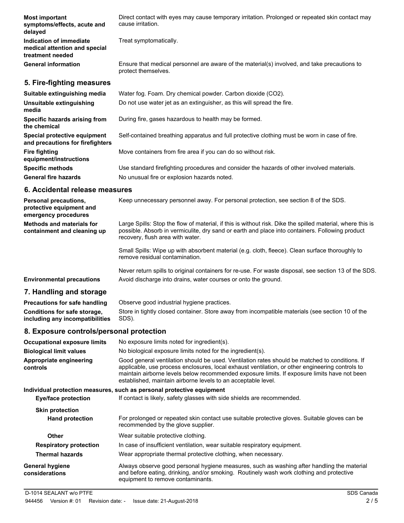| <b>Most important</b><br>symptoms/effects, acute and<br>delayed              | Direct contact with eyes may cause temporary irritation. Prolonged or repeated skin contact may<br>cause irritation. |
|------------------------------------------------------------------------------|----------------------------------------------------------------------------------------------------------------------|
| Indication of immediate<br>medical attention and special<br>treatment needed | Treat symptomatically.                                                                                               |
| <b>General information</b>                                                   | Ensure that medical personnel are aware of the material(s) involved, and take precautions to<br>protect themselves.  |
| 5. Fire-fighting measures                                                    |                                                                                                                      |
| Suitable extinguishing media                                                 | Water fog. Foam. Dry chemical powder. Carbon dioxide (CO2).                                                          |
| Unsuitable extinguishing<br>media                                            | Do not use water jet as an extinguisher, as this will spread the fire.                                               |
| Specific hazards arising from<br>the chemical                                | During fire, gases hazardous to health may be formed.                                                                |
| Special protective equipment                                                 | Self-contained breathing apparatus and full protective clothing must be worn in case of fire.                        |

**and precautions for firefighters Fire fighting** Move containers from fire area if you can do so without risk. **equipment/instructions Specific methods** Use standard firefighting procedures and consider the hazards of other involved materials. General fire hazards **No unusual fire or explosion hazards noted.** 

#### **6. Accidental release measures**

| Personal precautions,<br>protective equipment and<br>emergency procedures | Keep unnecessary personnel away. For personal protection, see section 8 of the SDS.                                                                                                                                                               |
|---------------------------------------------------------------------------|---------------------------------------------------------------------------------------------------------------------------------------------------------------------------------------------------------------------------------------------------|
| <b>Methods and materials for</b><br>containment and cleaning up           | Large Spills: Stop the flow of material, if this is without risk. Dike the spilled material, where this is<br>possible. Absorb in vermiculite, dry sand or earth and place into containers. Following product<br>recovery, flush area with water. |
|                                                                           | Small Spills: Wipe up with absorbent material (e.g. cloth, fleece). Clean surface thoroughly to<br>remove residual contamination.                                                                                                                 |

Never return spills to original containers for re-use. For waste disposal, see section 13 of the SDS. **Environmental precautions** Avoid discharge into drains, water courses or onto the ground.

#### **7. Handling and storage**

**Precautions for safe handling** Observe good industrial hygiene practices. Store in tightly closed container. Store away from incompatible materials (see section 10 of the SDS). **Conditions for safe storage, including any incompatibilities**

#### **8. Exposure controls/personal protection**

| <b>Occupational exposure limits</b>      | No exposure limits noted for ingredient(s).                                                                                                                                                                                                                                                                                                                        |  |
|------------------------------------------|--------------------------------------------------------------------------------------------------------------------------------------------------------------------------------------------------------------------------------------------------------------------------------------------------------------------------------------------------------------------|--|
| <b>Biological limit values</b>           | No biological exposure limits noted for the ingredient(s).                                                                                                                                                                                                                                                                                                         |  |
| Appropriate engineering<br>controls      | Good general ventilation should be used. Ventilation rates should be matched to conditions. If<br>applicable, use process enclosures, local exhaust ventilation, or other engineering controls to<br>maintain airborne levels below recommended exposure limits. If exposure limits have not been<br>established, maintain airborne levels to an acceptable level. |  |
|                                          | Individual protection measures, such as personal protective equipment                                                                                                                                                                                                                                                                                              |  |
| <b>Eye/face protection</b>               | If contact is likely, safety glasses with side shields are recommended.                                                                                                                                                                                                                                                                                            |  |
| <b>Skin protection</b>                   |                                                                                                                                                                                                                                                                                                                                                                    |  |
| <b>Hand protection</b>                   | For prolonged or repeated skin contact use suitable protective gloves. Suitable gloves can be<br>recommended by the glove supplier.                                                                                                                                                                                                                                |  |
| Other                                    | Wear suitable protective clothing.                                                                                                                                                                                                                                                                                                                                 |  |
| <b>Respiratory protection</b>            | In case of insufficient ventilation, wear suitable respiratory equipment.                                                                                                                                                                                                                                                                                          |  |
| <b>Thermal hazards</b>                   | Wear appropriate thermal protective clothing, when necessary.                                                                                                                                                                                                                                                                                                      |  |
| <b>General hygiene</b><br>considerations | Always observe good personal hygiene measures, such as washing after handling the material<br>and before eating, drinking, and/or smoking. Routinely wash work clothing and protective<br>equipment to remove contaminants.                                                                                                                                        |  |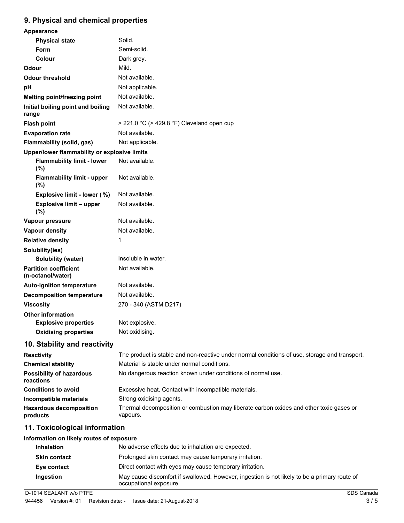## **9. Physical and chemical properties**

| Appearance                                        |                                                                                               |
|---------------------------------------------------|-----------------------------------------------------------------------------------------------|
| <b>Physical state</b>                             | Solid.                                                                                        |
| Form                                              | Semi-solid.                                                                                   |
| Colour                                            | Dark grey.                                                                                    |
| Odour                                             | Mild.                                                                                         |
| <b>Odour threshold</b>                            | Not available.                                                                                |
| pH                                                | Not applicable.                                                                               |
| Melting point/freezing point                      | Not available.                                                                                |
| Initial boiling point and boiling<br>range        | Not available.                                                                                |
| <b>Flash point</b>                                | $>$ 221.0 °C ( $>$ 429.8 °F) Cleveland open cup                                               |
| <b>Evaporation rate</b>                           | Not available.                                                                                |
| Flammability (solid, gas)                         | Not applicable.                                                                               |
| Upper/lower flammability or explosive limits      |                                                                                               |
| <b>Flammability limit - lower</b><br>(%)          | Not available.                                                                                |
| <b>Flammability limit - upper</b><br>(%)          | Not available.                                                                                |
| Explosive limit - lower (%)                       | Not available.                                                                                |
| <b>Explosive limit - upper</b><br>(%)             | Not available.                                                                                |
| Vapour pressure                                   | Not available.                                                                                |
| <b>Vapour density</b>                             | Not available.                                                                                |
| <b>Relative density</b>                           | 1                                                                                             |
| Solubility(ies)                                   |                                                                                               |
| Solubility (water)                                | Insoluble in water.                                                                           |
| <b>Partition coefficient</b><br>(n-octanol/water) | Not available.                                                                                |
| <b>Auto-ignition temperature</b>                  | Not available.                                                                                |
| <b>Decomposition temperature</b>                  | Not available.                                                                                |
| <b>Viscosity</b>                                  | 270 - 340 (ASTM D217)                                                                         |
| <b>Other information</b>                          |                                                                                               |
| <b>Explosive properties</b>                       | Not explosive.                                                                                |
| <b>Oxidising properties</b>                       | Not oxidising.                                                                                |
| 10. Stability and reactivity                      |                                                                                               |
| Reactivity                                        | The product is stable and non-reactive under normal conditions of use, storage and transport. |
| <b>Chemical stability</b>                         | Material is stable under normal conditions.                                                   |
| Possibility of hazardous                          | No dangerous reaction known under conditions of normal use.                                   |

| <b>Possibility of hazardous</b><br>reactions | No dangerous reaction known under conditions of normal use.                                         |
|----------------------------------------------|-----------------------------------------------------------------------------------------------------|
| <b>Conditions to avoid</b>                   | Excessive heat. Contact with incompatible materials.                                                |
| Incompatible materials                       | Strong oxidising agents.                                                                            |
| <b>Hazardous decomposition</b><br>products   | Thermal decomposition or combustion may liberate carbon oxides and other toxic gases or<br>vapours. |

## **11. Toxicological information**

#### **Information on likely routes of exposure**

| <b>Inhalation</b>   | No adverse effects due to inhalation are expected.                                                                     |
|---------------------|------------------------------------------------------------------------------------------------------------------------|
| <b>Skin contact</b> | Prolonged skin contact may cause temporary irritation.                                                                 |
| Eye contact         | Direct contact with eyes may cause temporary irritation.                                                               |
| Ingestion           | May cause discomfort if swallowed. However, ingestion is not likely to be a primary route of<br>occupational exposure. |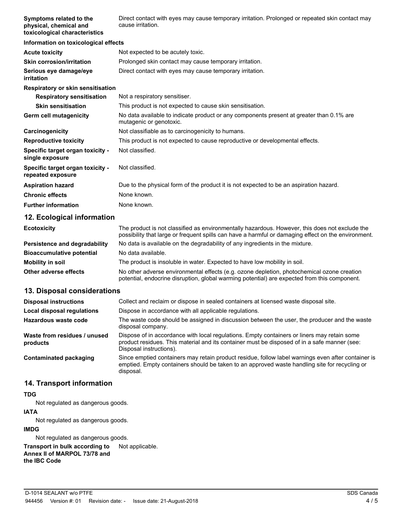**Symptoms related to the physical, chemical and toxicological characteristics** Direct contact with eyes may cause temporary irritation. Prolonged or repeated skin contact may cause irritation.

| Information on toxicological effects                  |                                                                                                                     |
|-------------------------------------------------------|---------------------------------------------------------------------------------------------------------------------|
| <b>Acute toxicity</b>                                 | Not expected to be acutely toxic.                                                                                   |
| <b>Skin corrosion/irritation</b>                      | Prolonged skin contact may cause temporary irritation.                                                              |
| Serious eye damage/eye<br>irritation                  | Direct contact with eyes may cause temporary irritation.                                                            |
| Respiratory or skin sensitisation                     |                                                                                                                     |
| <b>Respiratory sensitisation</b>                      | Not a respiratory sensitiser.                                                                                       |
| <b>Skin sensitisation</b>                             | This product is not expected to cause skin sensitisation.                                                           |
| Germ cell mutagenicity                                | No data available to indicate product or any components present at greater than 0.1% are<br>mutagenic or genotoxic. |
| Carcinogenicity                                       | Not classifiable as to carcinogenicity to humans.                                                                   |
| <b>Reproductive toxicity</b>                          | This product is not expected to cause reproductive or developmental effects.                                        |
| Specific target organ toxicity -<br>single exposure   | Not classified.                                                                                                     |
| Specific target organ toxicity -<br>repeated exposure | Not classified.                                                                                                     |
| <b>Aspiration hazard</b>                              | Due to the physical form of the product it is not expected to be an aspiration hazard.                              |
| <b>Chronic effects</b>                                | None known.                                                                                                         |
| <b>Further information</b>                            | None known.                                                                                                         |

#### **12. Ecological information**

| <b>Ecotoxicity</b>               | The product is not classified as environmentally hazardous. However, this does not exclude the<br>possibility that large or frequent spills can have a harmful or damaging effect on the environment. |
|----------------------------------|-------------------------------------------------------------------------------------------------------------------------------------------------------------------------------------------------------|
| Persistence and degradability    | No data is available on the degradability of any ingredients in the mixture.                                                                                                                          |
| <b>Bioaccumulative potential</b> | No data available.                                                                                                                                                                                    |
| <b>Mobility in soil</b>          | The product is insoluble in water. Expected to have low mobility in soil.                                                                                                                             |
| Other adverse effects            | No other adverse environmental effects (e.g. ozone depletion, photochemical ozone creation<br>potential, endocrine disruption, global warming potential) are expected from this component.            |

### **13. Disposal considerations**

| <b>Disposal instructions</b>             | Collect and reclaim or dispose in sealed containers at licensed waste disposal site.                                                                                                                                   |
|------------------------------------------|------------------------------------------------------------------------------------------------------------------------------------------------------------------------------------------------------------------------|
| Local disposal regulations               | Dispose in accordance with all applicable regulations.                                                                                                                                                                 |
| Hazardous waste code                     | The waste code should be assigned in discussion between the user, the producer and the waste<br>disposal company.                                                                                                      |
| Waste from residues / unused<br>products | Dispose of in accordance with local regulations. Empty containers or liners may retain some<br>product residues. This material and its container must be disposed of in a safe manner (see:<br>Disposal instructions). |
| Contaminated packaging                   | Since emptied containers may retain product residue, follow label warnings even after container is<br>emptied. Empty containers should be taken to an approved waste handling site for recycling or<br>disposal.       |

### **14. Transport information**

#### **TDG**

Not regulated as dangerous goods.

# **IATA** Not regulated as dangerous goods.

**IMDG**

Not regulated as dangerous goods.

**Transport in bulk according to** Not applicable. **Annex II of MARPOL 73/78 and the IBC Code**